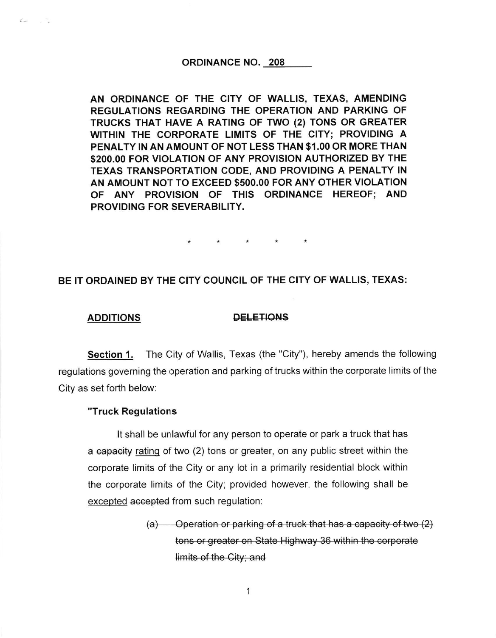#### ORDINANCE NO. 208

AN ORDINANCE OF THE CITY OF WALLIS, TEXAS, AMENDING REGULATIONS REGARDING THE OPERATION AND PARKING OF TRUCKS THAT HAVE A RATING OF TWO (2) TONS OR GREATER WITHIN THE CORPORATE LIMITS OF THE GITY; PROVIDING A PENALTY IN AN AMOUNT OF NOT LESS THAN \$1.00 OR MORE THAN \$2OO.OO FOR VIOLATION OF ANY PROVISION AUTHORIZED BY THE TEXAS TRANSPORTATION CODE, AND PROVIDING A PENALTY IN AN AMOUNT NOT TO EXCEED \$5OO.OO FOR ANY OTHER VIOLATION OF ANY PROVISION OF THIS ORDINANCE HEREOF; AND PROVIDING FOR SEVERABILITY.

 $\star$ 

# BE IT ORDAINED BY THE CITY COUNCIL OF THE CITY OF WALLIS, TEXAS:

### ADDITIONS DELETIONS

 $\vec{r}$   $\vec{r}$ 

Section 1. The City of Wallis, Texas (the "City"), hereby amends the following regulations governing the operation and parking of trucks within the corporate limits of the City as set forth below:

## "Truck Regulations

It shall be unlawful for any person to operate or park a truck that has a eapaeity rating of two (2) tons or greater, on any public street within the corporate limits of the City or any lot in a primarily residential block within the corporate limits of the City; provided however, the following shall be excepted accepted from such regulation:

> (a) — Operation or parking of a truck that has a capacity of two (2) tons or greater on State Highway 36 within the corporate  $limits$  of the City; and

> > 1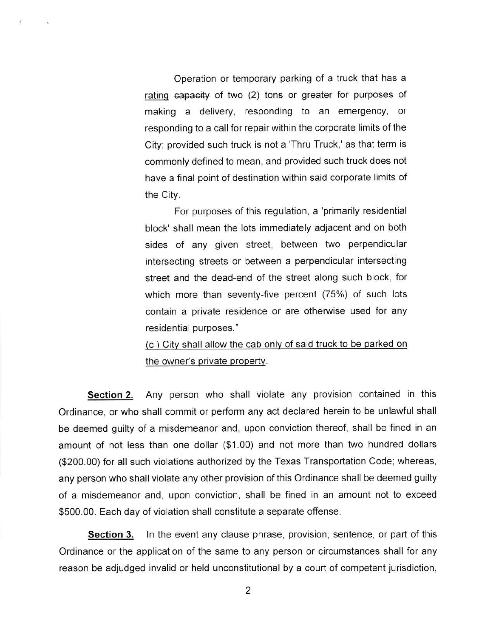Operation or temporary parking of a truck that has a rating capacity of two (2) tons or greater for purposes of making a delivery, responding to an emergency, or responding to a call for repair within the corporate limits of the Cityi provided such truck is not a'Thru Truck,' as that term is commonly defined to mean, and provided such truck does not have a final point of destination within said corporate limits of the City.

For purposes of this regulation, a 'primarily residential block'shall mean the lots immediately adjacent and on both sides of any given street, between two perpendicular intersecting streets or between a perpendicular intersecting street and the dead-end of the street along such block, for which more than seventy-five percent (75%) of such lots contain a private residence or are otherwise used for any residential purposes."

(c) City shall allow the cab only of said truck to be parked on the owner's private property.

Section 2. Any person who shall violate any provision contained in this ordinance, or who shall commit or perform any act declared herein to be unlawful shall be deemed guilty of a misdemeanor and, upon conviction thereof, shall be fined in an amount of not less than one dollar (\$1.00) and not more than two hundred dollars (\$200.00) for all such violations authorized by the Texas Transportation Code; whereas, any person who shall violate any other provision of this Ordinance shall be deemed guilty of a misdemeanor and, upon conviction, shall be fined in an amount not to exceed \$500.00. Each day of violation shall constitute a separate offense.

**Section 3.** In the event any clause phrase, provision, sentence, or part of this Ordinance or the application of the same to any person or circumstances shall for any reason be adjudged invalid or held unconstitutional by a court of competent jurisdiction,

2